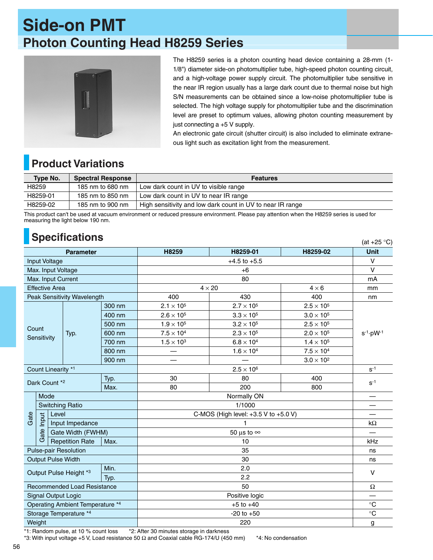## **Side-on PMT Photon Counting Head H8259 Series**



The H8259 series is a photon counting head device containing a 28-mm (1- 1/8") diameter side-on photomultiplier tube, high-speed photon counting circuit, and a high-voltage power supply circuit. The photomultiplier tube sensitive in the near IR region usually has a large dark count due to thermal noise but high S/N measurements can be obtained since a low-noise photomultiplier tube is selected. The high voltage supply for photomultiplier tube and the discrimination level are preset to optimum values, allowing photon counting measurement by just connecting a +5 V supply.

An electronic gate circuit (shutter circuit) is also included to eliminate extraneous light such as excitation light from the measurement.

 $(at +25 °C)$ 

## **Product Variations**

| Type No. | <b>Spectral Response</b> | <b>Features</b>                                            |
|----------|--------------------------|------------------------------------------------------------|
| H8259    | 185 nm to 680 nm         | Low dark count in UV to visible range                      |
| H8259-01 | 185 nm to 850 nm         | Low dark count in UV to near IR range                      |
| H8259-02 | 185 nm to 900 nm         | High sensitivity and low dark count in UV to near IR range |

This product can't be used at vacuum environment or reduced pressure environment. Please pay attention when the H8259 series is used for measuring the light below 190 nm.

## **Specifications**

| <b>Parameter</b>                       |                                              |                                |                                      | H8259                         | H8259-01            | H8259-02            | <b>Unit</b>            |
|----------------------------------------|----------------------------------------------|--------------------------------|--------------------------------------|-------------------------------|---------------------|---------------------|------------------------|
| <b>Input Voltage</b>                   |                                              |                                |                                      | $+4.5$ to $+5.5$              |                     |                     | $\vee$                 |
| Max. Input Voltage                     |                                              |                                |                                      | $+6$                          |                     |                     | $\vee$                 |
| Max. Input Current                     |                                              |                                |                                      | 80                            |                     |                     | mΑ                     |
| <b>Effective Area</b>                  |                                              |                                |                                      | $4 \times 20$<br>$4 \times 6$ |                     | mm                  |                        |
| Peak Sensitivity Wavelength            |                                              |                                |                                      | 400                           | 430                 | 400                 | nm                     |
|                                        |                                              |                                | 300 nm                               | $2.1 \times 10^{5}$           | $2.7 \times 10^{5}$ | $2.5 \times 10^5$   |                        |
| Count<br>Sensitivity                   |                                              |                                | 400 nm                               | $2.6 \times 10^5$             | $3.3 \times 10^5$   | $3.0 \times 10^5$   | $s^{-1} \cdot pW^{-1}$ |
|                                        |                                              |                                | 500 nm                               | $1.9 \times 10^{5}$           | $3.2 \times 10^5$   | $2.5 \times 10^5$   |                        |
|                                        |                                              | Typ.                           | 600 nm                               | $7.5 \times 10^{4}$           | $2.3 \times 10^5$   | $2.0 \times 10^5$   |                        |
|                                        |                                              |                                | 700 nm                               | $1.5 \times 10^{3}$           | $6.8\times10^4$     | $1.4 \times 10^{5}$ |                        |
|                                        |                                              |                                | 800 nm                               |                               | $1.6 \times 10^{4}$ | $7.5 \times 10^4$   |                        |
|                                        |                                              |                                | 900 nm                               |                               |                     | $3.0 \times 10^2$   |                        |
| Count Linearity *1                     |                                              |                                |                                      | $2.5 \times 10^6$             |                     |                     | $S-1$                  |
| Typ.<br>Dark Count *2                  |                                              |                                |                                      | 30                            | 80                  | 400                 | $S^{-1}$               |
| Max.                                   |                                              |                                | 80                                   | 200                           | 800                 |                     |                        |
|                                        | Mode                                         |                                | Normally ON                          |                               |                     |                     |                        |
|                                        | <b>Switching Ratio</b>                       |                                | 1/1000                               |                               |                     |                     |                        |
| Gate                                   | Level<br>Input                               |                                | C-MOS (High level: +3.5 V to +5.0 V) |                               |                     |                     |                        |
|                                        | Input Impedance<br>Gate<br>Gate Width (FWHM) |                                |                                      |                               |                     |                     | k $\Omega$             |
|                                        |                                              |                                |                                      | 50 µs to $\infty$             |                     |                     |                        |
|                                        |                                              | <b>Repetition Rate</b><br>Max. |                                      | 10                            |                     |                     | kHz                    |
| <b>Pulse-pair Resolution</b>           |                                              |                                |                                      | 35                            |                     |                     | ns                     |
| <b>Output Pulse Width</b>              |                                              |                                |                                      | 30                            |                     |                     | ns                     |
| Min.<br>Output Pulse Height *3<br>Typ. |                                              |                                |                                      | 2.0                           |                     |                     | $\vee$                 |
|                                        |                                              |                                |                                      | 2.2                           |                     |                     |                        |
| <b>Recommended Load Resistance</b>     |                                              |                                |                                      | 50                            |                     |                     | Ω                      |
| <b>Signal Output Logic</b>             |                                              |                                |                                      | Positive logic                |                     |                     | —                      |
| Operating Ambient Temperature *4       |                                              |                                |                                      | $+5$ to $+40$                 |                     |                     | $^\circ \text{C}$      |
| Storage Temperature *4                 |                                              |                                |                                      | $-20$ to $+50$                |                     |                     | $\circ$ C              |
| Weight                                 |                                              |                                |                                      | 220                           |                     |                     | g                      |

\*1: Random pulse, at 10 % count loss \*2: After 30 minutes storage in darkness

 $*3$ : With input voltage +5 V, Load resistance 50  $\Omega$  and Coaxial cable RG-174/U (450 mm)  $*4$ : No condensation